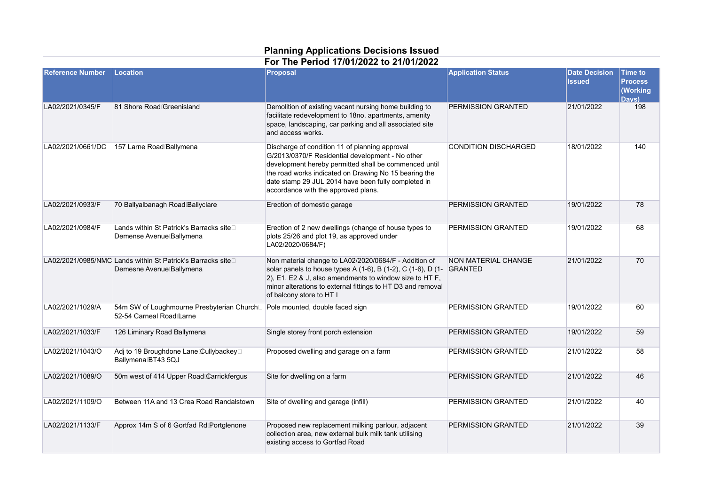## **Planning Applications Decisions Issued**

**For The Period 17/01/2022 to 21/01/2022**

| <b>Reference Number</b> | Location                                                                                               | <b>Proposal</b>                                                                                                                                                                                                                                                                                                    | <b>Application Status</b>             | <b>Date Decision</b><br><b>Issued</b> | <b>Time to</b><br><b>Process</b><br>(Working<br>Davs) |
|-------------------------|--------------------------------------------------------------------------------------------------------|--------------------------------------------------------------------------------------------------------------------------------------------------------------------------------------------------------------------------------------------------------------------------------------------------------------------|---------------------------------------|---------------------------------------|-------------------------------------------------------|
| LA02/2021/0345/F        | 81 Shore Road Greenisland                                                                              | Demolition of existing vacant nursing home building to<br>facilitate redevelopment to 18no. apartments, amenity<br>space, landscaping, car parking and all associated site<br>and access works.                                                                                                                    | PERMISSION GRANTED                    | 21/01/2022                            | 198                                                   |
| LA02/2021/0661/DC       | 157 Larne Road Ballymena                                                                               | Discharge of condition 11 of planning approval<br>G/2013/0370/F Residential development - No other<br>development hereby permitted shall be commenced until<br>the road works indicated on Drawing No 15 bearing the<br>date stamp 29 JUL 2014 have been fully completed in<br>accordance with the approved plans. | <b>CONDITION DISCHARGED</b>           | 18/01/2022                            | 140                                                   |
| LA02/2021/0933/F        | 70 Ballyalbanagh Road Ballyclare                                                                       | Erection of domestic garage                                                                                                                                                                                                                                                                                        | PERMISSION GRANTED                    | 19/01/2022                            | 78                                                    |
| LA02/2021/0984/F        | Lands within St Patrick's Barracks site□<br>Demense Avenue Ballymena                                   | Erection of 2 new dwellings (change of house types to<br>plots 25/26 and plot 19, as approved under<br>LA02/2020/0684/F)                                                                                                                                                                                           | PERMISSION GRANTED                    | 19/01/2022                            | 68                                                    |
|                         | LA02/2021/0985/NMC Lands within St Patrick's Barracks site<br>Demesne Avenue Ballymena                 | Non material change to LA02/2020/0684/F - Addition of<br>solar panels to house types A (1-6), B (1-2), C (1-6), D (1-<br>2), E1, E2 & J, also amendments to window size to HT F,<br>minor alterations to external fittings to HT D3 and removal<br>of balcony store to HT I                                        | <b>NON MATERIAL CHANGE</b><br>GRANTED | 21/01/2022                            | 70                                                    |
| LA02/2021/1029/A        | 54m SW of Loughmourne Presbyterian Church□ Pole mounted, double faced sign<br>52-54 Carneal Road Larne |                                                                                                                                                                                                                                                                                                                    | PERMISSION GRANTED                    | 19/01/2022                            | 60                                                    |
| LA02/2021/1033/F        | 126 Liminary Road Ballymena                                                                            | Single storey front porch extension                                                                                                                                                                                                                                                                                | PERMISSION GRANTED                    | 19/01/2022                            | 59                                                    |
| LA02/2021/1043/O        | Adj to 19 Broughdone Lane Cullybackey <sup>[1]</sup><br>Ballymena BT43 5QJ                             | Proposed dwelling and garage on a farm                                                                                                                                                                                                                                                                             | PERMISSION GRANTED                    | 21/01/2022                            | 58                                                    |
| LA02/2021/1089/O        | 50m west of 414 Upper Road Carrickfergus                                                               | Site for dwelling on a farm                                                                                                                                                                                                                                                                                        | PERMISSION GRANTED                    | 21/01/2022                            | 46                                                    |
| LA02/2021/1109/O        | Between 11A and 13 Crea Road Randalstown                                                               | Site of dwelling and garage (infill)                                                                                                                                                                                                                                                                               | PERMISSION GRANTED                    | 21/01/2022                            | 40                                                    |
| LA02/2021/1133/F        | Approx 14m S of 6 Gortfad Rd Portglenone                                                               | Proposed new replacement milking parlour, adjacent<br>collection area, new external bulk milk tank utilising<br>existing access to Gortfad Road                                                                                                                                                                    | PERMISSION GRANTED                    | 21/01/2022                            | 39                                                    |